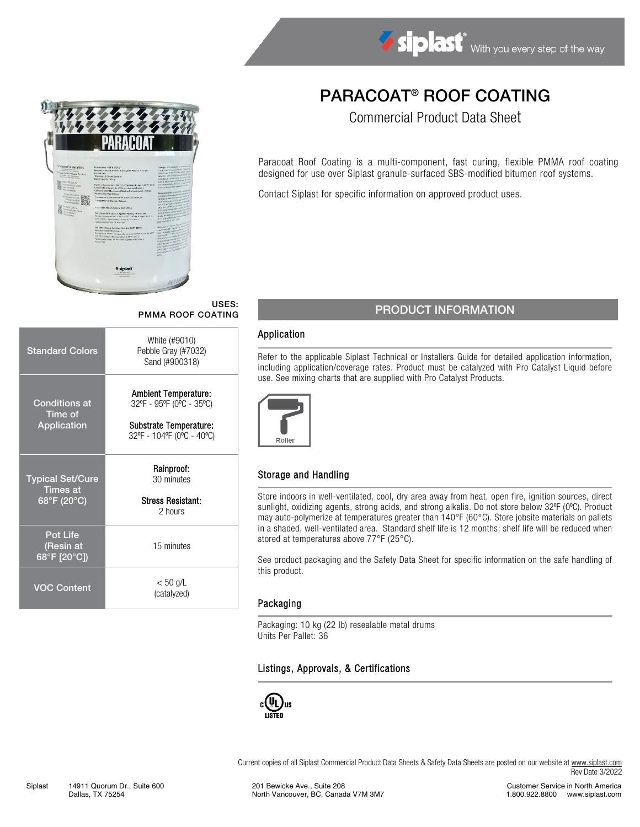

# PARACOAT® ROOF COATING

Commercial Product Data Sheet

Paracoat Roof Coating is a multi-component, fast curing, flexible PMMA roof coating designed for use over Siplast granule-surfaced SBS-modified bitumen roof systems.

Contact Siplast for specific information on approved product uses.

## USES:

| <b>Standard Colors</b>                                    | White (#9010)<br>Pebble Gray (#7032)<br>Sand (#900318)                                                  |  |  |
|-----------------------------------------------------------|---------------------------------------------------------------------------------------------------------|--|--|
| Conditions at<br>Time of<br>Application                   | Ambient Temperature:<br>32°F - 95°F (0°C - 35°C)<br>Substrate Temperature:<br>32°F - 104°F (0°C - 40°C) |  |  |
| <b>Typical Set/Cure</b><br><b>Times at</b><br>68°F (20°C) | Rainproof:<br>30 minutes<br><b>Stress Resistant:</b><br>2 hours                                         |  |  |
| <b>Pot Life</b><br>(Resin at<br>68°F [20°C])              | 15 minutes                                                                                              |  |  |
| VOC Content                                               | < 50 g/L<br>(catalyzed)                                                                                 |  |  |

## USES:<br>PMMA ROOF COATING PRODUCT INFORMATION

#### Application

Refer to the applicable Siplast Technical or Installers Guide for detailed application information, including application/coverage rates. Product must be catalyzed with Pro Catalyst Liquid before use. See mixing charts that are supplied with Pro Catalyst Products.



#### Storage and Handling

Store indoors in well-ventilated, cool, dry area away from heat, open fire, ignition sources, direct sunlight, oxidizing agents, strong acids, and strong alkalis. Do not store below 32°F (0°C). Product may auto-polymerize at temperatures greater than 140°F (60°C). Store jobsite materials on pallets in a shaded, well-ventilated area. Standard shelf life is 12 months; shelf life will be reduced when stored at temperatures above 77°F (25°C).

See product packaging and the Safety Data Sheet for specific information on the safe handling of this product.

#### Packaging

Packaging: 10 kg (22 lb) resealable metal drums Units Per Pallet: 36

#### Listings, Approvals, & Certifications



Current copies of all Siplast Commercial Product Data Sheets & Safety Data Sheets are posted on our website a[t www.siplast.com](http://www.siplast.com/) Rev Date 3/2022